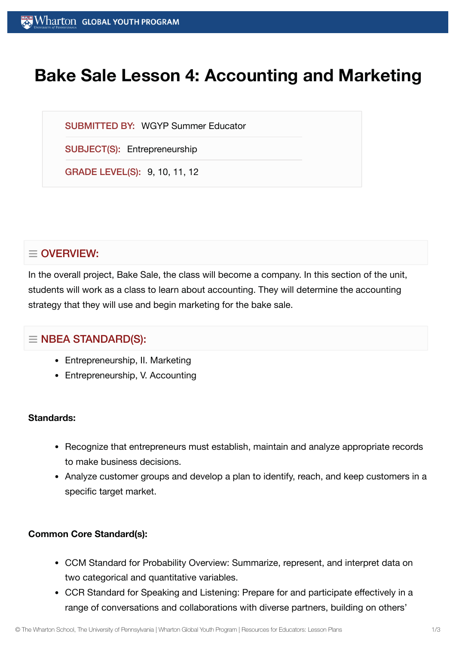# **Bake Sale Lesson 4: Accounting and Marketing**

SUBMITTED BY: WGYP Summer Educator

SUBJECT(S): Entrepreneurship

GRADE LEVEL(S): 9, 10, 11, 12

## $\equiv$  OVERVIEW:

In the overall project, Bake Sale, the class will become a company. In this section of the unit, students will work as a class to learn about accounting. They will determine the accounting strategy that they will use and begin marketing for the bake sale.

## $\equiv$  NBEA STANDARD(S):

- Entrepreneurship, II. Marketing
- Entrepreneurship, V. Accounting

## **Standards:**

- Recognize that entrepreneurs must establish, maintain and analyze appropriate records to make business decisions.
- Analyze customer groups and develop a plan to identify, reach, and keep customers in a specific target market.

## **Common Core Standard(s):**

- CCM Standard for Probability Overview: Summarize, represent, and interpret data on two categorical and quantitative variables.
- CCR Standard for Speaking and Listening: Prepare for and participate effectively in a range of conversations and collaborations with diverse partners, building on others'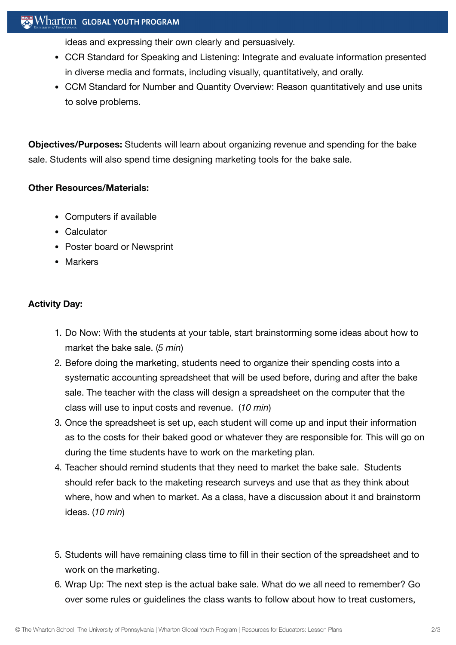## $\sim$  Wharton Global youth program

ideas and expressing their own clearly and persuasively.

- CCR Standard for Speaking and Listening: Integrate and evaluate information presented in diverse media and formats, including visually, quantitatively, and orally.
- CCM Standard for Number and Quantity Overview: Reason quantitatively and use units to solve problems.

**Objectives/Purposes:** Students will learn about organizing revenue and spending for the bake sale. Students will also spend time designing marketing tools for the bake sale.

## **Other Resources/Materials:**

- Computers if available
- Calculator
- Poster board or Newsprint
- Markers

## **Activity Day:**

- 1. Do Now: With the students at your table, start brainstorming some ideas about how to market the bake sale. (*5 min*)
- 2. Before doing the marketing, students need to organize their spending costs into a systematic accounting spreadsheet that will be used before, during and after the bake sale. The teacher with the class will design a spreadsheet on the computer that the class will use to input costs and revenue. (*10 min*)
- 3. Once the spreadsheet is set up, each student will come up and input their information as to the costs for their baked good or whatever they are responsible for. This will go on during the time students have to work on the marketing plan.
- 4. Teacher should remind students that they need to market the bake sale. Students should refer back to the maketing research surveys and use that as they think about where, how and when to market. As a class, have a discussion about it and brainstorm ideas. (*10 min*)
- 5. Students will have remaining class time to fill in their section of the spreadsheet and to work on the marketing.
- 6. Wrap Up: The next step is the actual bake sale. What do we all need to remember? Go over some rules or guidelines the class wants to follow about how to treat customers,